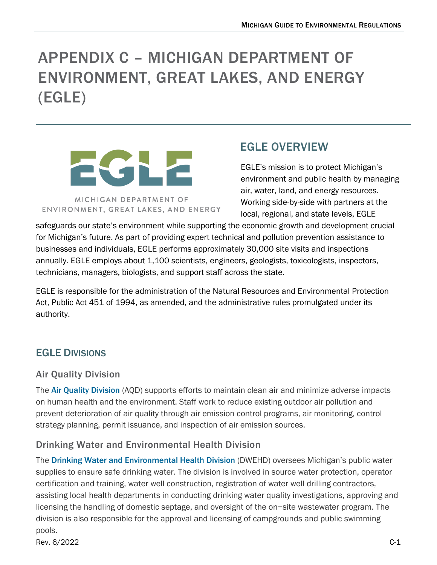# APPENDIX C – MICHIGAN DEPARTMENT OF ENVIRONMENT, GREAT LAKES, AND ENERGY (EGLE)



# EGLE OVERVIEW

EGLE's mission is to protect Michigan's environment and public health by managing air, water, land, and energy resources. Working side-by-side with partners at the local, regional, and state levels, EGLE

safeguards our state's environment while supporting the economic growth and development crucial for Michigan's future. As part of providing expert technical and pollution prevention assistance to businesses and individuals, EGLE performs approximately 30,000 site visits and inspections annually. EGLE employs about 1,100 scientists, engineers, geologists, toxicologists, inspectors, technicians, managers, biologists, and support staff across the state.

EGLE is responsible for the administration of the Natural Resources and Environmental Protection Act, Public Act 451 of 1994, as amended, and the administrative rules promulgated under its authority.

## EGLE DIVISIONS

#### Air Quality Division

The[Air Quality Division](https://www.michigan.gov/egle/about/organization/Air-Quality) (AQD) supports efforts to maintain clean air and minimize adverse impacts on human health and the environment. Staff work to reduce existing outdoor air pollution and prevent deterioration of air quality through air emission control programs, air monitoring, control strategy planning, permit issuance, and inspection of air emission sources.

#### Drinking Water and Environmental Health Division

The [Drinking Water and Environmental Health Division](https://www.michigan.gov/egle/about/organization/drinking-water-and-environmental-health) (DWEHD) oversees Michigan's public water supplies to ensure safe drinking water. The division is involved in source water protection, operator certification and training, water well construction, registration of water well drilling contractors, assisting local health departments in conducting drinking water quality investigations, approving and licensing the handling of domestic septage, and oversight of the on−site wastewater program. The division is also responsible for the approval and licensing of campgrounds and public swimming pools.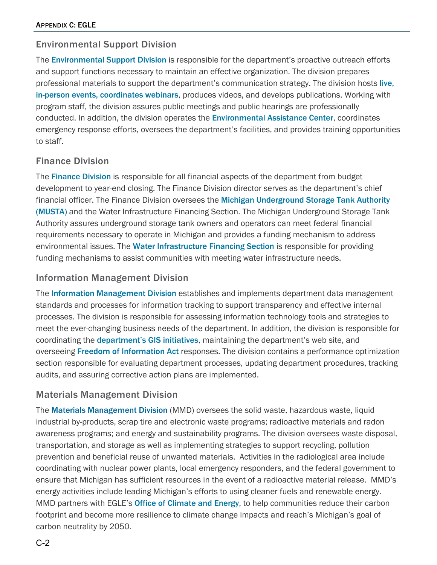#### Environmental Support Division

The[Environmental Support Division](https://www.michigan.gov/egle/about/organization/environmental-support) is responsible for the department's proactive outreach efforts and support functions necessary to maintain an effective organization. The division prepares professional materials to support the department's communication strategy. The division hosts [live,](https://www.michigan.gov/egle/outreach#ExploreEvents)  in-person [events, coordinates webinars](https://www.michigan.gov/egle/outreach#ExploreEvents), produces videos, and develops publications. Working with program staff, the division assures public meetings and public hearings are professionally conducted. In addition, the division operates the [Environmental Assistance Center](https://www.michigan.gov/egle/contact/environmental-assistance-center), coordinates emergency response efforts, oversees the department's facilities, and provides training opportunities to staff.

#### Finance Division

The[Finance Division](https://www.michigan.gov/egle/about/organization/finance) is responsible for all financial aspects of the department from budget development to year-end closing. The Finance Division director serves as the department's chief financial officer. The Finance Division oversees the [Michigan Underground Storage Tank Authority](https://www.michigan.gov/egle/about/groups/musta) (MUSTA) and the Water Infrastructure Financing Section. The Michigan Underground Storage Tank Authority assures underground storage tank owners and operators can meet federal financial requirements necessary to operate in Michigan and provides a funding mechanism to address [e](https://www.michigan.gov/egle/Regulatory-Assistance/Grants-and-Financing/Drinking-Water-State-Revolving-Fund)nvironmental issues. The [Water Infrastructure Financing Section](https://www.michigan.gov/egle/Regulatory-Assistance/Grants-and-Financing/Drinking-Water-State-Revolving-Fund) is responsible for providing funding mechanisms to assist communities with meeting water infrastructure needs.

#### Information Management Division

The [Information Management Division](https://www.michigan.gov/egle/about/organization/information-management) establishes and implements department data management standards and processes for information tracking to support transparency and effective internal processes. The division is responsible for assessing information technology tools and strategies to meet the ever-changing business needs of the department. In addition, the division is responsible for coordinating the [department's GIS initiatives](https://gis-egle.hub.arcgis.com/), maintaining the department's web site, and overseeing [Freedom of Information Act](https://www.michigan.gov/egle/contact/foia) responses. The division contains a performance optimization section responsible for evaluating department processes, updating department procedures, tracking audits, and assuring corrective action plans are implemented.

#### Materials Management Division

The [Materials Management Division](https://www.michigan.gov/egle/about/organization/materials-management) (MMD) oversees the solid waste, hazardous waste, liquid industrial by-products, scrap tire and electronic waste programs; radioactive materials and radon awareness programs; and energy and sustainability programs. The division oversees waste disposal, transportation, and storage as well as implementing strategies to support recycling, pollution prevention and beneficial reuse of unwanted materials. Activities in the radiological area include coordinating with nuclear power plants, local emergency responders, and the federal government to ensure that Michigan has sufficient resources in the event of a radioactive material release. MMD's energy activities include leading Michigan's efforts to using cleaner fuels and renewable energy. MMD partners with EGLE's **[Office of Climate and Energy](https://www.michigan.gov/egle/about/organization/climate-and-energy)**, to help communities reduce their carbon footprint and become more resilience to climate change impacts and reach's Michigan's goal of carbon neutrality by 2050.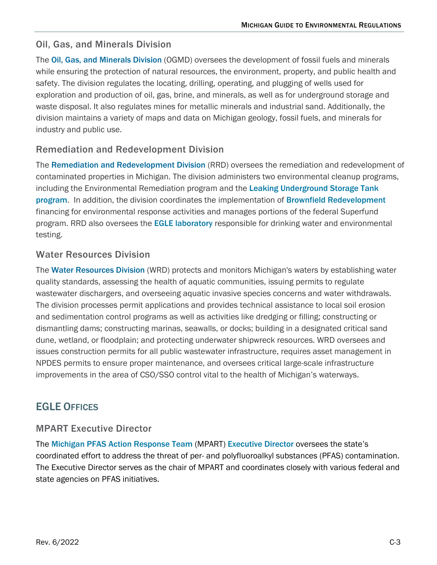#### Oil, Gas, and Minerals Division

The [Oil, Gas, and Minerals Division](https://www.michigan.gov/egle/about/organization/oil-gas-and-minerals) (OGMD) oversees the development of fossil fuels and minerals while ensuring the protection of natural resources, the environment, property, and public health and safety. The division regulates the locating, drilling, operating, and plugging of wells used for exploration and production of oil, gas, brine, and minerals, as well as for underground storage and waste disposal. It also regulates mines for metallic minerals and industrial sand. Additionally, the division maintains a variety of maps and data on Michigan geology, fossil fuels, and minerals for industry and public use.

#### Remediation and Redevelopment Division

The [Remediation and Redevelopment Division](https://www.michigan.gov/egle/about/organization/remediation-and-redevelopment) (RRD) oversees the remediation and redevelopment of contaminated properties in Michigan. The division administers two environmental cleanup programs, including the Environmental Remediation program and the Leaking Underground Storage Tank [program](https://www.michigan.gov/egle/about/organization/remediation-and-redevelopment/lust). In addition, the division coordinates the implementation of [Brownfield Redevelopment](https://www.michigan.gov/egle/about/organization/remediation-and-redevelopment/brownfields) financing for environmental response activities and manages portions of the federal Superfund program. RRD also oversees the **EGLE laboratory** responsible for drinking water and environmental testing.

#### Water Resources Division

The [Water Resources Division](https://www.michigan.gov/egle/about/organization/water-resources) (WRD) protects and monitors Michigan's waters by establishing water quality standards, assessing the health of aquatic communities, issuing permits to regulate wastewater dischargers, and overseeing aquatic invasive species concerns and water withdrawals. The division processes permit applications and provides technical assistance to local soil erosion and sedimentation control programs as well as activities like dredging or filling; constructing or dismantling dams; constructing marinas, seawalls, or docks; building in a designated critical sand dune, wetland, or floodplain; and protecting underwater shipwreck resources. WRD oversees and issues construction permits for all public wastewater infrastructure, requires asset management in NPDES permits to ensure proper maintenance, and oversees critical large-scale infrastructure improvements in the area of CSO/SSO control vital to the health of Michigan's waterways.

### EGLE OFFICES

#### MPART Executive Director

The [Michigan PFAS Action Response Team](https://www.michigan.gov/pfasresponse/) (MPART) Executive Director oversees the state's coordinated effort to address the threat of per- and polyfluoroalkyl substances (PFAS) contamination. The Executive Director serves as the chair of MPART and coordinates closely with various federal and state agencies on PFAS initiatives.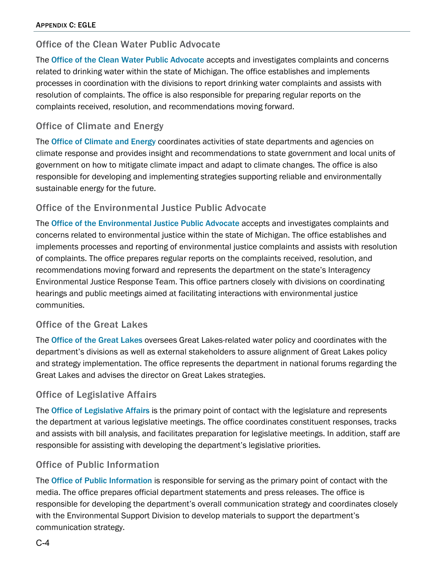#### Office of the Clean Water Public Advocate

The [Office of the Clean Water Public Advocate](https://www.michigan.gov/egle/about/organization/clean-water-public-advocate) accepts and investigates complaints and concerns related to drinking water within the state of Michigan. The office establishes and implements processes in coordination with the divisions to report drinking water complaints and assists with resolution of complaints. The office is also responsible for preparing regular reports on the complaints received, resolution, and recommendations moving forward.

#### Office of Climate and Energy

The [Office of Climate and Energy](https://www.michigan.gov/egle/about/organization/climate-and-energy) coordinates activities of state departments and agencies on climate response and provides insight and recommendations to state government and local units of government on how to mitigate climate impact and adapt to climate changes. The office is also responsible for developing and implementing strategies supporting reliable and environmentally sustainable energy for the future.

#### Office of the Environmental Justice Public Advocate

The [Office of the Environmental Justice Public Advocate](https://www.michigan.gov/egle/about/organization/environmental-justice) accepts and investigates complaints and concerns related to environmental justice within the state of Michigan. The office establishes and implements processes and reporting of environmental justice complaints and assists with resolution of complaints. The office prepares regular reports on the complaints received, resolution, and recommendations moving forward and represents the department on the state's Interagency Environmental Justice Response Team. This office partners closely with divisions on coordinating hearings and public meetings aimed at facilitating interactions with environmental justice communities.

#### Office of the Great Lakes

The [Office of the Great Lakes](https://www.michigan.gov/egle/about/organization/office-of-the-great-lakes) oversees Great Lakes-related water policy and coordinates with the department's divisions as well as external stakeholders to assure alignment of Great Lakes policy and strategy implementation. The office represents the department in national forums regarding the Great Lakes and advises the director on Great Lakes strategies.

#### Office of Legislative Affairs

The **[Office of Legislative Affairs](https://www.michigan.gov/egle/about/organization/legislative-affairs)** is the primary point of contact with the legislature and represents the department at various legislative meetings. The office coordinates constituent responses, tracks and assists with bill analysis, and facilitates preparation for legislative meetings. In addition, staff are responsible for assisting with developing the department's legislative priorities.

#### Office of Public Information

The [Office of Public Information](https://www.michigan.gov/egle/about/organization/public-information) is responsible for serving as the primary point of contact with the media. The office prepares official department statements and press releases. The office is responsible for developing the department's overall communication strategy and coordinates closely with the Environmental Support Division to develop materials to support the department's communication strategy.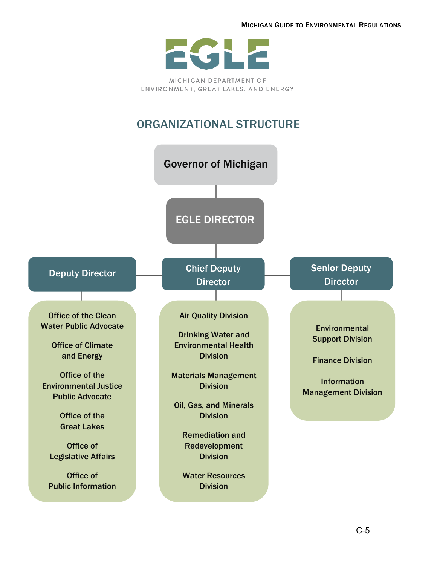

MICHIGAN DEPARTMENT OF ENVIRONMENT, GREAT LAKES, AND ENERGY

# ORGANIZATIONAL STRUCTURE